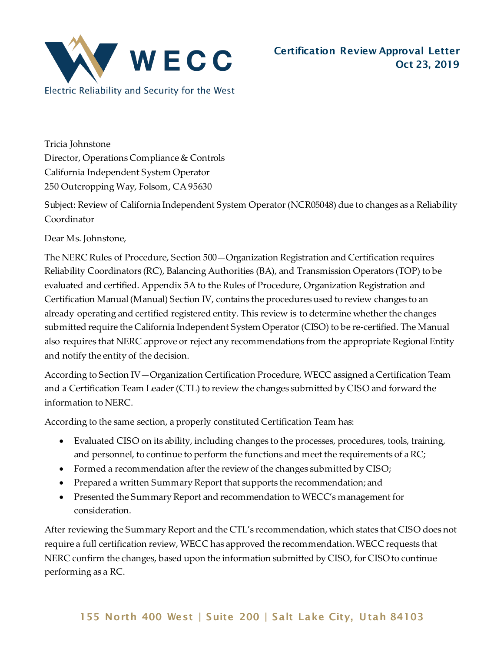

Tricia Johnstone Director, Operations Compliance & Controls California Independent System Operator 250 Outcropping Way, Folsom, CA 95630

Subject: Review of California Independent System Operator (NCR05048) due to changes as a Reliability Coordinator

Dear Ms. Johnstone,

The NERC Rules of Procedure, Section 500—Organization Registration and Certification requires Reliability Coordinators (RC), Balancing Authorities (BA), and Transmission Operators (TOP) to be evaluated and certified. Appendix 5A to the Rules of Procedure, Organization Registration and Certification Manual (Manual) Section IV, contains the procedures used to review changes to an already operating and certified registered entity. This review is to determine whether the changes submitted require the California Independent System Operator (CISO) to be re-certified. The Manual also requires that NERC approve or reject any recommendations from the appropriate Regional Entity and notify the entity of the decision.

According to Section IV—Organization Certification Procedure, WECC assigned a Certification Team and a Certification Team Leader (CTL) to review the changes submitted by CISO and forward the information to NERC.

According to the same section, a properly constituted Certification Team has:

- Evaluated CISO on its ability, including changes to the processes, procedures, tools, training, and personnel, to continue to perform the functions and meet the requirements of a RC;
- Formed a recommendation after the review of the changes submitted by CISO;
- Prepared a written Summary Report that supports the recommendation; and
- Presented the Summary Report and recommendation to WECC's management for consideration.

After reviewing the Summary Report and the CTL's recommendation, which states that CISO does not require a full certification review, WECC has approved the recommendation. WECC requests that NERC confirm the changes, based upon the information submitted by CISO, for CISO to continue performing as a RC.